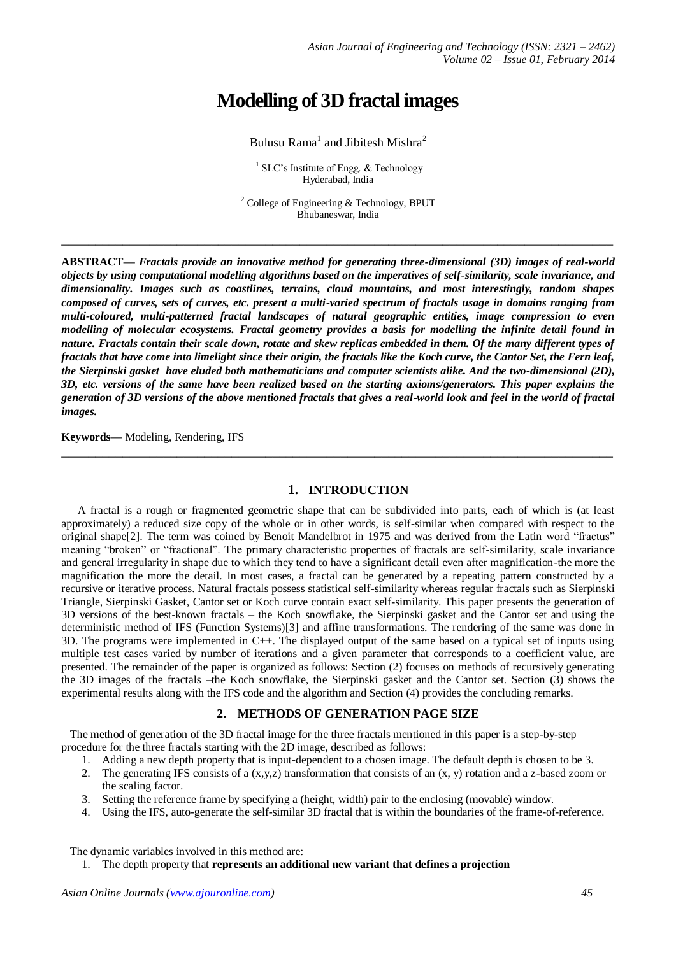# **Modelling of 3D fractal images**

# Bulusu Rama $^1$  and Jibitesh Mishra $^2$

 $1$  SLC's Institute of Engg. & Technology Hyderabad, India

<sup>2</sup> College of Engineering & Technology, BPUT Bhubaneswar, India

**\_\_\_\_\_\_\_\_\_\_\_\_\_\_\_\_\_\_\_\_\_\_\_\_\_\_\_\_\_\_\_\_\_\_\_\_\_\_\_\_\_\_\_\_\_\_\_\_\_\_\_\_\_\_\_\_\_\_\_\_\_\_\_\_\_\_\_\_\_\_\_\_\_\_\_\_\_\_\_\_\_**

**ABSTRACT—** *Fractals provide an innovative method for generating three-dimensional (3D) images of real-world objects by using computational modelling algorithms based on the imperatives of self-similarity, scale invariance, and dimensionality. Images such as coastlines, terrains, cloud mountains, and most interestingly, random shapes composed of curves, sets of curves, etc. present a multi-varied spectrum of fractals usage in domains ranging from multi-coloured, multi-patterned fractal landscapes of natural geographic entities, image compression to even modelling of molecular ecosystems. Fractal geometry provides a basis for modelling the infinite detail found in nature. Fractals contain their scale down, rotate and skew replicas embedded in them. Of the many different types of fractals that have come into limelight since their origin, the fractals like the Koch curve, the Cantor Set, the Fern leaf, the Sierpinski gasket have eluded both mathematicians and computer scientists alike. And the two-dimensional (2D), 3D, etc. versions of the same have been realized based on the starting axioms/generators. This paper explains the generation of 3D versions of the above mentioned fractals that gives a real-world look and feel in the world of fractal images.*

**Keywords—** Modeling, Rendering, IFS

### **1. INTRODUCTION**

**\_\_\_\_\_\_\_\_\_\_\_\_\_\_\_\_\_\_\_\_\_\_\_\_\_\_\_\_\_\_\_\_\_\_\_\_\_\_\_\_\_\_\_\_\_\_\_\_\_\_\_\_\_\_\_\_\_\_\_\_\_\_\_\_\_\_\_\_\_\_\_\_\_\_\_\_\_\_\_\_\_**

A fractal is a rough or fragmented geometric shape that can be subdivided into parts, each of which is (at least approximately) a reduced size copy of the whole or in other words, is self-similar when compared with respect to the original shape[2]. The term was coined by Benoit Mandelbrot in 1975 and was derived from the Latin word "fractus" meaning "broken" or "fractional". The primary characteristic properties of fractals are self-similarity, scale invariance and general irregularity in shape due to which they tend to have a significant detail even after magnification-the more the magnification the more the detail. In most cases, a fractal can be generated by a repeating pattern constructed by a recursive or iterative process. Natural fractals possess statistical self-similarity whereas regular fractals such as Sierpinski Triangle, Sierpinski Gasket, Cantor set or Koch curve contain exact self-similarity. This paper presents the generation of 3D versions of the best-known fractals – the Koch snowflake, the Sierpinski gasket and the Cantor set and using the deterministic method of IFS (Function Systems)[3] and affine transformations. The rendering of the same was done in 3D. The programs were implemented in C++. The displayed output of the same based on a typical set of inputs using multiple test cases varied by number of iterations and a given parameter that corresponds to a coefficient value, are presented. The remainder of the paper is organized as follows: Section (2) focuses on methods of recursively generating the 3D images of the fractals –the Koch snowflake, the Sierpinski gasket and the Cantor set. Section (3) shows the experimental results along with the IFS code and the algorithm and Section (4) provides the concluding remarks.

### **2. METHODS OF GENERATION PAGE SIZE**

 The method of generation of the 3D fractal image for the three fractals mentioned in this paper is a step-by-step procedure for the three fractals starting with the 2D image, described as follows:

- 1. Adding a new depth property that is input-dependent to a chosen image. The default depth is chosen to be 3.
- 2. The generating IFS consists of a  $(x,y,z)$  transformation that consists of an  $(x, y)$  rotation and a z-based zoom or the scaling factor.
- 3. Setting the reference frame by specifying a (height, width) pair to the enclosing (movable) window.
- 4. Using the IFS, auto-generate the self-similar 3D fractal that is within the boundaries of the frame-of-reference.

The dynamic variables involved in this method are:

1. The depth property that **represents an additional new variant that defines a projection**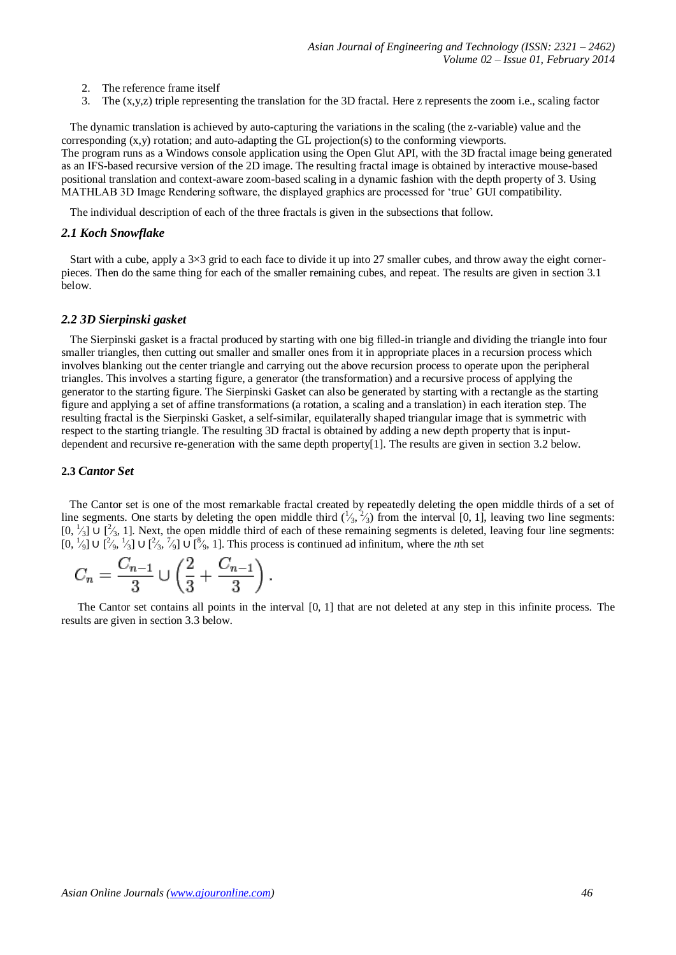- 2. The reference frame itself
- 3. The (x,y,z) triple representing the translation for the 3D fractal. Here z represents the zoom i.e., scaling factor

 The dynamic translation is achieved by auto-capturing the variations in the scaling (the z-variable) value and the corresponding  $(x,y)$  rotation; and auto-adapting the GL projection(s) to the conforming viewports. The program runs as a Windows console application using the Open Glut API, with the 3D fractal image being generated as an IFS-based recursive version of the 2D image. The resulting fractal image is obtained by interactive mouse-based positional translation and context-aware zoom-based scaling in a dynamic fashion with the depth property of 3. Using MATHLAB 3D Image Rendering software, the displayed graphics are processed for 'true' GUI compatibility.

The individual description of each of the three fractals is given in the subsections that follow.

#### *2.1 Koch Snowflake*

 Start with a cube, apply a 3×3 grid to each face to divide it up into 27 smaller cubes, and throw away the eight cornerpieces. Then do the same thing for each of the smaller remaining cubes, and repeat. The results are given in section 3.1 below.

#### *2.2 3D Sierpinski gasket*

 The Sierpinski gasket is a fractal produced by starting with one big filled-in triangle and dividing the triangle into four smaller triangles, then cutting out smaller and smaller ones from it in appropriate places in a recursion process which involves blanking out the center triangle and carrying out the above recursion process to operate upon the peripheral triangles. This involves a starting figure, a generator (the transformation) and a recursive process of applying the generator to the starting figure. The Sierpinski Gasket can also be generated by starting with a rectangle as the starting figure and applying a set of affine transformations (a rotation, a scaling and a translation) in each iteration step. The resulting fractal is the Sierpinski Gasket, a self-similar, equilaterally shaped triangular image that is symmetric with respect to the starting triangle. The resulting 3D fractal is obtained by adding a new depth property that is inputdependent and recursive re-generation with the same depth property[1]. The results are given in section 3.2 below.

#### **2.3** *Cantor Set*

 The Cantor set is one of the most remarkable fractal created by repeatedly deleting the open middle thirds of a set of line segments. One starts by deleting the open middle third  $(\frac{1}{3}, \frac{2}{3})$  from the interval [0, 1], leaving two line segments:  $[0, \frac{1}{3}]$  U  $[\frac{2}{3}, 1]$ . Next, the open middle third of each of these remaining segments is deleted, leaving four line segments:  $[0, \frac{1}{9}]$  ∪  $[\frac{2}{9}, \frac{1}{3}]$  ∪  $[\frac{2}{3}, \frac{7}{9}]$  ∪  $[\frac{8}{9}, 1]$ . This process is continued ad infinitum, where the *n*th set

$$
C_n = \frac{C_{n-1}}{3} \cup \left(\frac{2}{3} + \frac{C_{n-1}}{3}\right).
$$

The Cantor set contains all points in the interval [0, 1] that are not deleted at any step in this infinite process. The results are given in section 3.3 below.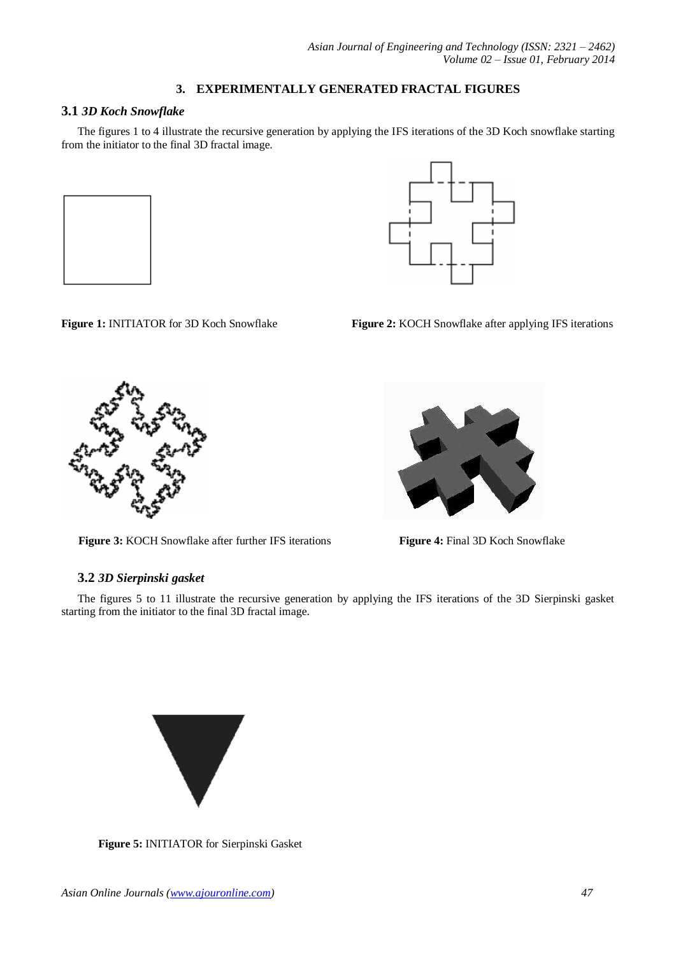# **3. EXPERIMENTALLY GENERATED FRACTAL FIGURES**

# **3.1** *3D Koch Snowflake*

The figures 1 to 4 illustrate the recursive generation by applying the IFS iterations of the 3D Koch snowflake starting from the initiator to the final 3D fractal image.





**Figure 1:** INITIATOR for 3D Koch Snowflake Figure 2: **KOCH** Snowflake after applying IFS iterations

 **Figure 3:** KOCH Snowflake after further IFS iterations **Figure 4:** Final 3D Koch Snowflake



## **3.2** *3D Sierpinski gasket*

The figures 5 to 11 illustrate the recursive generation by applying the IFS iterations of the 3D Sierpinski gasket starting from the initiator to the final 3D fractal image.



 **Figure 5:** INITIATOR for Sierpinski Gasket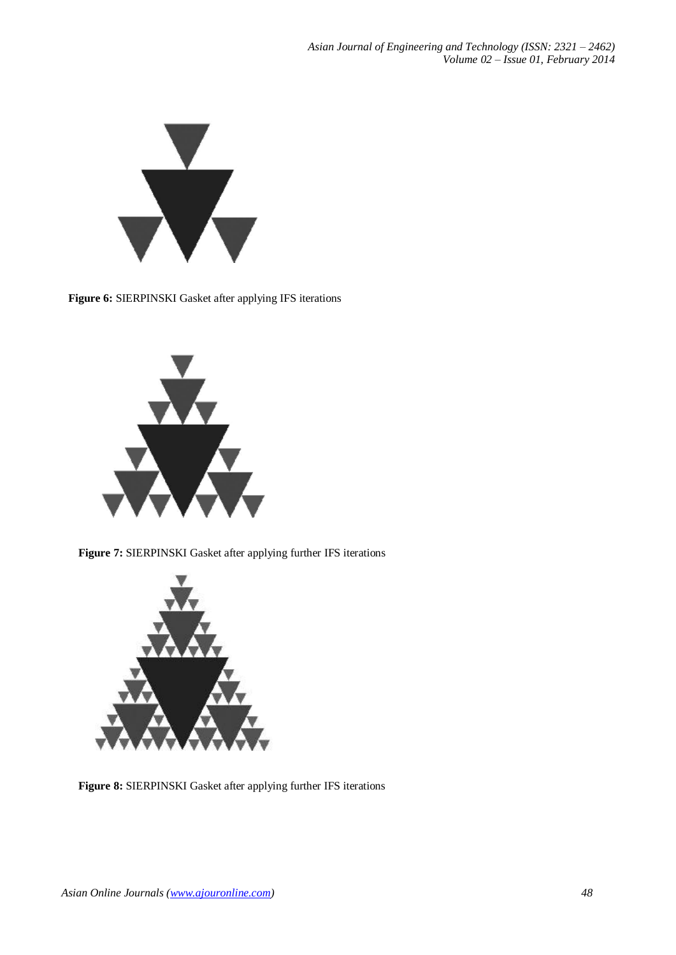

**Figure 6:** SIERPINSKI Gasket after applying IFS iterations



 **Figure 7:** SIERPINSKI Gasket after applying further IFS iterations



 **Figure 8:** SIERPINSKI Gasket after applying further IFS iterations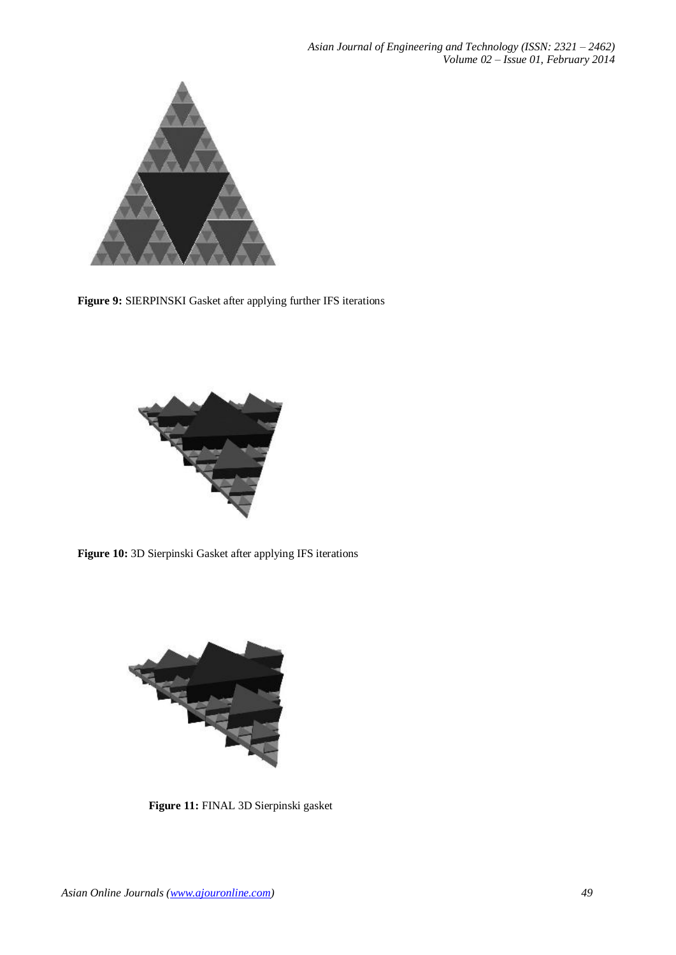

**Figure 9:** SIERPINSKI Gasket after applying further IFS iterations



**Figure 10:** 3D Sierpinski Gasket after applying IFS iterations



 **Figure 11:** FINAL 3D Sierpinski gasket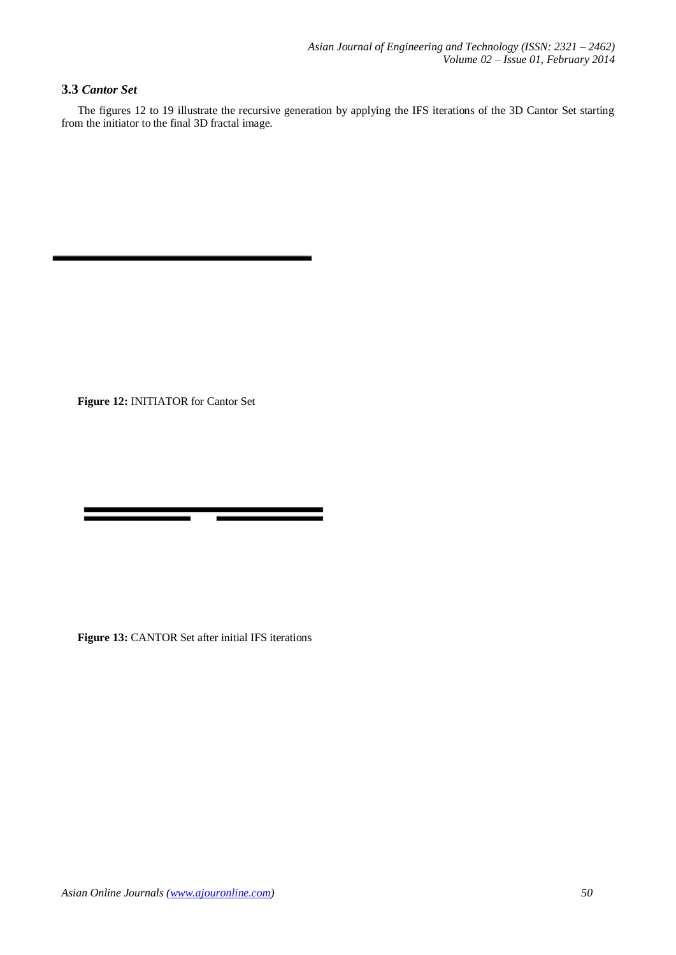# **3.3** *Cantor Set*

The figures 12 to 19 illustrate the recursive generation by applying the IFS iterations of the 3D Cantor Set starting from the initiator to the final 3D fractal image.

**Figure 12:** INITIATOR for Cantor Set

**Figure 13:** CANTOR Set after initial IFS iterations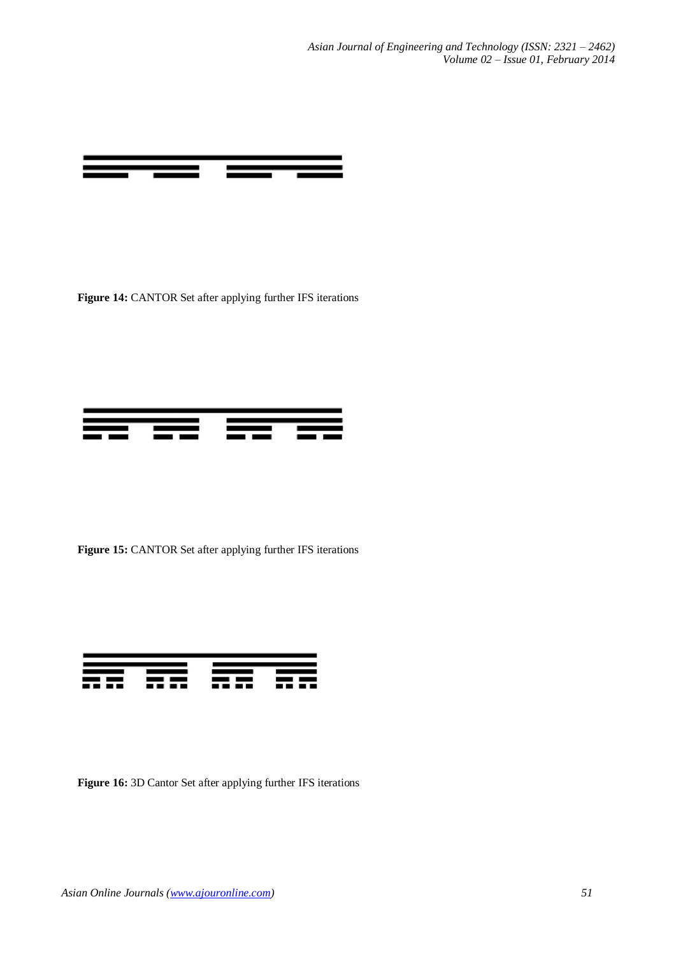

Figure 14: CANTOR Set after applying further IFS iterations



Figure 15: CANTOR Set after applying further IFS iterations



**Figure 16:** 3D Cantor Set after applying further IFS iterations